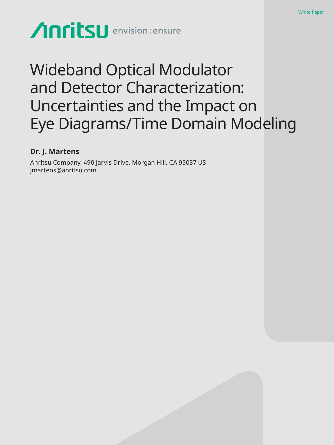# Anritsu envision: ensure

## Wideband Optical Modulator and Detector Characterization: Uncertainties and the Impact on Eye Diagrams/Time Domain Modeling

White Paper

## **Dr. J. Martens**

Anritsu Company, 490 Jarvis Drive, Morgan Hill, CA 95037 US jmartens@anritsu.com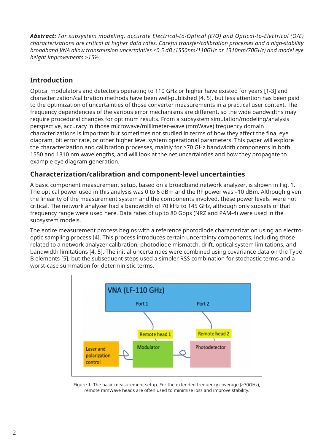*Abstract: For subsystem modeling, accurate Electrical-to-Optical (E/O) and Optical-to-Electrical (O/E) characterizations are critical at higher data rates. Careful transfer/calibration processes and a high-stability broadband VNA allow transmission uncertainties <0.5 dB (1550nm/110GHz or 1310nm/70GHz) and model eye height improvements >15%.*

## **Introduction**

Optical modulators and detectors operating to 110 GHz or higher have existed for years [1-3] and characterization/calibration methods have been well-published [4, 5], but less attention has been paid to the optimization of uncertainties of those converter measurements in a practical user context. The frequency dependencies of the various error mechanisms are different, so the wide bandwidths may require procedural changes for optimum results. From a subsystem simulation/modeling/analysis perspective, accuracy in those microwave/millimeter-wave (mmWave) frequency domain characterizations is important but sometimes not studied in terms of how they affect the final eye diagram, bit error rate, or other higher level system operational parameters. This paper will explore the characterization and calibration processes, mainly for >70 GHz bandwidth components in both 1550 and 1310 nm wavelengths, and will look at the net uncertainties and how they propagate to example eye diagram generation.

## **Characterization/calibration and component-level uncertainties**

A basic component measurement setup, based on a broadband network analyzer, is shown in Fig. 1. The optical power used in this analysis was 0 to 6 dBm and the RF power was -10 dBm. Although given the linearity of the measurement system and the components involved, these power levels were not critical. The network analyzer had a bandwidth of 70 kHz to 145 GHz, although only subsets of that frequency range were used here. Data rates of up to 80 Gbps (NRZ and PAM-4) were used in the subsystem models.

The entire measurement process begins with a reference photodiode characterization using an electrooptic sampling process [4]. This process introduces certain uncertainty components, including those related to a network analyzer calibration, photodiode mismatch, drift, optical system limitations, and bandwidth limitations [4, 5]. The initial uncertainties were combined using covariance data on the Type B elements [5], but the subsequent steps used a simpler RSS combination for stochastic terms and a worst-case summation for deterministic terms.



Figure 1. The basic measurement setup. For the extended frequency coverage (>70GHz), remote mmWave heads are often used to minimize loss and improve stability.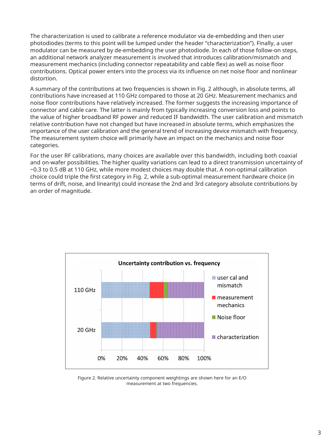The characterization is used to calibrate a reference modulator via de-embedding and then user photodiodes (terms to this point will be lumped under the header "characterization"). Finally, a user modulator can be measured by de-embedding the user photodiode. In each of those follow-on steps, an additional network analyzer measurement is involved that introduces calibration/mismatch and measurement mechanics (including connector repeatability and cable flex) as well as noise floor contributions. Optical power enters into the process via its influence on net noise floor and nonlinear distortion.

A summary of the contributions at two frequencies is shown in Fig. 2 although, in absolute terms, all contributions have increased at 110 GHz compared to those at 20 GHz. Measurement mechanics and noise floor contributions have relatively increased. The former suggests the increasing importance of connector and cable care. The latter is mainly from typically increasing conversion loss and points to the value of higher broadband RF power and reduced IF bandwidth. The user calibration and mismatch relative contribution have not changed but have increased in absolute terms, which emphasizes the importance of the user calibration and the general trend of increasing device mismatch with frequency. The measurement system choice will primarily have an impact on the mechanics and noise floor categories.

For the user RF calibrations, many choices are available over this bandwidth, including both coaxial and on-wafer possibilities. The higher quality variations can lead to a direct transmission uncertainty of ~0.3 to 0.5 dB at 110 GHz, while more modest choices may double that. A non-optimal calibration choice could triple the first category in Fig. 2, while a sub-optimal measurement hardware choice (in terms of drift, noise, and linearity) could increase the 2nd and 3rd category absolute contributions by an order of magnitude.



Figure 2. Relative uncertainty component weightings are shown here for an E/O measurement at two frequencies.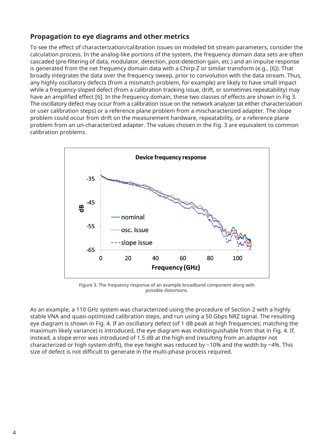## **Propagation to eye diagrams and other metrics**

To see the effect of characterization/calibration issues on modeled bit stream parameters, consider the calculation process. In the analog-like portions of the system, the frequency domain data sets are often cascaded (pre-filtering of data, modulator, detection, post-detection gain, etc.) and an impulse response is generated from the net frequency domain data with a Chirp-Z or similar transform (e.g., [6]). That broadly integrates the data over the frequency sweep, prior to convolution with the data stream. Thus, any highly oscillatory defects (from a mismatch problem, for example) are likely to have small impact while a frequency-sloped defect (from a calibration tracking issue, drift, or sometimes repeatability) may have an amplified effect [6]. In the frequency domain, these two classes of effects are shown in Fig 3. The oscillatory defect may occur from a calibration issue on the network analyzer (at either characterization or user calibration steps) or a reference plane problem from a mischaracterized adapter. The slope problem could occur from drift on the measurement hardware, repeatability, or a reference plane problem from an un-characterized adapter. The values chosen in the Fig. 3 are equivalent to common calibration problems.



Figure 3. The frequency response of an example broadband component along with possible distortions.

As an example, a 110 GHz system was characterized using the procedure of Section 2 with a highly stable VNA and quasi-optimized calibration steps, and run using a 50 Gbps NRZ signal. The resulting eye diagram is shown in Fig. 4. If an oscillatory defect (of 1 dB peak at high frequencies; matching the maximum likely variance) is introduced, the eye diagram was indistinguishable from that in Fig. 4. If, instead, a slope error was introduced of 1.5 dB at the high end (resulting from an adapter not characterized or high system drift), the eye height was reduced by ~10% and the width by ~4%. This size of defect is not difficult to generate in the multi-phase process required.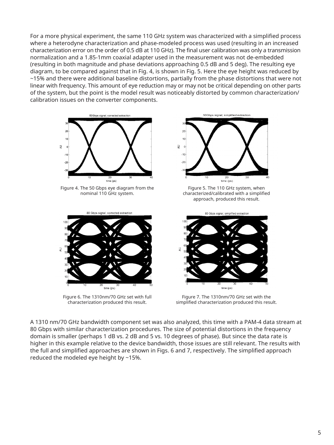For a more physical experiment, the same 110 GHz system was characterized with a simplified process where a heterodyne characterization and phase-modeled process was used (resulting in an increased characterization error on the order of 0.5 dB at 110 GHz). The final user calibration was only a transmission normalization and a 1.85-1mm coaxial adapter used in the measurement was not de-embedded (resulting in both magnitude and phase deviations approaching 0.5 dB and 5 deg). The resulting eye diagram, to be compared against that in Fig. 4, is shown in Fig. 5. Here the eye height was reduced by ~15% and there were additional baseline distortions, partially from the phase distortions that were not linear with frequency. This amount of eye reduction may or may not be critical depending on other parts of the system, but the point is the model result was noticeably distorted by common characterization/ calibration issues on the converter components.



Figure 4. The 50 Gbps eye diagram from the nominal 110 GHz system.



Figure 6. The 1310nm/70 GHz set with full characterization produced this result.



Figure 5. The 110 GHz system, when characterized/calibrated with a simplified approach, produced this result.



Figure 7. The 1310nm/70 GHz set with the simplified characterization produced this result.

A 1310 nm/70 GHz bandwidth component set was also analyzed, this time with a PAM-4 data stream at 80 Gbps with similar characterization procedures. The size of potential distortions in the frequency domain is smaller (perhaps 1 dB vs. 2 dB and 5 vs. 10 degrees of phase). But since the data rate is higher in this example relative to the device bandwidth, those issues are still relevant. The results with the full and simplified approaches are shown in Figs. 6 and 7, respectively. The simplified approach reduced the modeled eye height by ~15%.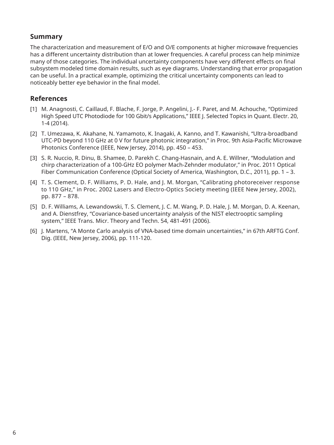## **Summary**

The characterization and measurement of E/O and O/E components at higher microwave frequencies has a different uncertainty distribution than at lower frequencies. A careful process can help minimize many of those categories. The individual uncertainty components have very different effects on final subsystem modeled time domain results, such as eye diagrams. Understanding that error propagation can be useful. In a practical example, optimizing the critical uncertainty components can lead to noticeably better eye behavior in the final model.

## **References**

- [1] M. Anagnosti, C. Caillaud, F. Blache, F. Jorge, P. Angelini, J.- F. Paret, and M. Achouche, "Optimized High Speed UTC Photodiode for 100 Gbit/s Applications," IEEE J. Selected Topics in Quant. Electr. 20, 1-4 (2014).
- [2] T. Umezawa, K. Akahane, N. Yamamoto, K. Inagaki, A. Kanno, and T. Kawanishi, "Ultra-broadband UTC-PD beyond 110 GHz at 0 V for future photonic integration," in Proc. 9th Asia-Pacific Microwave Photonics Conference (IEEE, New Jersey, 2014), pp. 450 – 453.
- [3] S. R. Nuccio, R. Dinu, B. Shamee, D. Parekh C. Chang-Hasnain, and A. E. Willner, "Modulation and chirp characterization of a 100-GHz EO polymer Mach-Zehnder modulator," in Proc. 2011 Optical Fiber Communication Conference (Optical Society of America, Washington, D.C., 2011), pp. 1 – 3.
- [4] T. S. Clement, D. F. Williams, P. D. Hale, and J. M. Morgan, "Calibrating photoreceiver response to 110 GHz," in Proc. 2002 Lasers and Electro-Optics Society meeting (IEEE New Jersey, 2002), pp. 877 – 878.
- [5] D. F. Williams, A. Lewandowski, T. S. Clement, J. C. M. Wang, P. D. Hale, J. M. Morgan, D. A. Keenan, and A. Dienstfrey, "Covariance-based uncertainty analysis of the NIST electrooptic sampling system," IEEE Trans. Micr. Theory and Techn. 54, 481-491 (2006).
- [6] J. Martens, "A Monte Carlo analysis of VNA-based time domain uncertainties," in 67th ARFTG Conf. Dig. (IEEE, New Jersey, 2006), pp. 111-120.